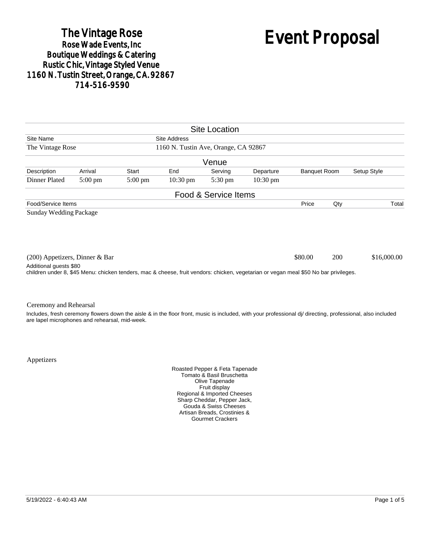# The Vintage Rose<br>Rose Wade Events, Inc. Boutique Weddings & Catering<br>Rustic Chic, Vintage Styled Venue 1160 N. Tustin Street, Orange, CA. 92867 714-516-9590

# Event Proposal

|                                                                                                                                                                                                  |                   |                   |                    | <b>Site Location</b> |                    |                     |     |                                                                                                                                                            |
|--------------------------------------------------------------------------------------------------------------------------------------------------------------------------------------------------|-------------------|-------------------|--------------------|----------------------|--------------------|---------------------|-----|------------------------------------------------------------------------------------------------------------------------------------------------------------|
| Site Name<br><b>Site Address</b>                                                                                                                                                                 |                   |                   |                    |                      |                    |                     |     |                                                                                                                                                            |
| 1160 N. Tustin Ave, Orange, CA 92867<br>The Vintage Rose                                                                                                                                         |                   |                   |                    |                      |                    |                     |     |                                                                                                                                                            |
|                                                                                                                                                                                                  |                   |                   |                    | Venue                |                    |                     |     |                                                                                                                                                            |
| Description                                                                                                                                                                                      | Arrival           | Start             | End                | Serving              | Departure          | <b>Banquet Room</b> |     | Setup Style                                                                                                                                                |
| Dinner Plated                                                                                                                                                                                    | $5:00 \text{ pm}$ | $5:00 \text{ pm}$ | $10:30 \text{ pm}$ | $5:30 \text{ pm}$    | $10:30 \text{ pm}$ |                     |     |                                                                                                                                                            |
|                                                                                                                                                                                                  |                   |                   |                    | Food & Service Items |                    |                     |     |                                                                                                                                                            |
| Food/Service Items                                                                                                                                                                               |                   |                   |                    |                      |                    | Price               | Qty | Total                                                                                                                                                      |
| <b>Sunday Wedding Package</b>                                                                                                                                                                    |                   |                   |                    |                      |                    |                     |     |                                                                                                                                                            |
| (200) Appetizers, Dinner & Bar<br>Additional guests \$80<br>children under 8, \$45 Menu: chicken tenders, mac & cheese, fruit vendors: chicken, vegetarian or vegan meal \$50 No bar privileges. |                   |                   |                    |                      |                    | \$80.00             | 200 | \$16,000.00                                                                                                                                                |
|                                                                                                                                                                                                  |                   |                   |                    |                      |                    |                     |     |                                                                                                                                                            |
| Ceremony and Rehearsal                                                                                                                                                                           |                   |                   |                    |                      |                    |                     |     |                                                                                                                                                            |
|                                                                                                                                                                                                  |                   |                   |                    |                      |                    |                     |     | Includes, fresh ceremony flowers down the aisle & in the floor front, music is included, with your professional di/ directing, professional, also included |

Appetizers

are lapel microphones and rehearsal, mid-week.

Roasted Pepper & Feta Tapenade Tomato & Basil Bruschetta Olive Tapenade Fruit display Regional & Imported Cheeses Sharp Cheddar, Pepper Jack, Gouda & Swiss Cheeses Artisan Breads, Crostinies & Gourmet Crackers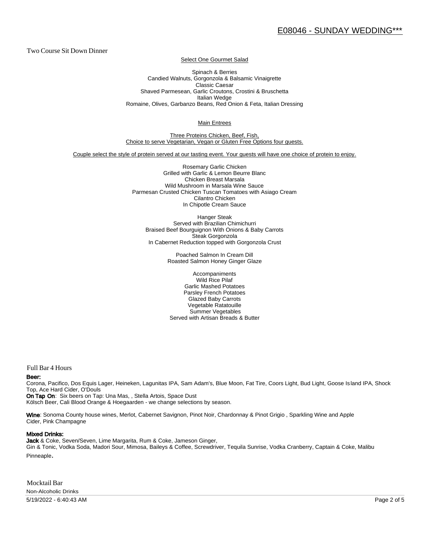Two Course Sit Down Dinner

Select One Gourmet Salad

Spinach & Berries Candied Walnuts, Gorgonzola & Balsamic Vinaigrette Classic Caesar Shaved Parmesean, Garlic Croutons, Crostini & Bruschetta Italian Wedge Romaine, Olives, Garbanzo Beans, Red Onion & Feta, Italian Dressing

Main Entrees

Three Proteins Chicken, Beef, Fish, Choice to serve Vegetarian, Vegan or Gluten Free Options four guests.

Couple select the style of protein served at our tasting event. Your guests will have one choice of protein to enjoy.

Rosemary Garlic Chicken Grilled with Garlic & Lemon Beurre Blanc Chicken Breast Marsala Wild Mushroom in Marsala Wine Sauce Parmesan Crusted Chicken Tuscan Tomatoes with Asiago Cream Cilantro Chicken In Chipotle Cream Sauce

Hanger Steak Served with Brazilian Chimichurri Braised Beef Bourguignon With Onions & Baby Carrots Steak Gorgonzola In Cabernet Reduction topped with Gorgonzola Crust

> Poached Salmon In Cream Dill Roasted Salmon Honey Ginger Glaze

Accompaniments Wild Rice Pilaf Garlic Mashed Potatoes Parsley French Potatoes Glazed Baby Carrots Vegetable Ratatouille Summer Vegetables Served with Artisan Breads & Butter

Full Bar 4 Hours

#### Beer:

Corona, Pacifico, Dos Equis Lager, Heineken, Lagunitas IPA, Sam Adam's, Blue Moon, Fat Tire, Coors Light, Bud Light, Goose Is land IPA, Shock Top, Ace Hard Cider, O'Douls

On Tap On: Six beers on Tap: Una Mas, , Stella Artois, Space Dust Kölsch Beer, Cali Blood Orange & Hoegaarden - we change selections by season.

Wine: Sonoma County house wines, Merlot, Cabernet Savignon, Pinot Noir, Chardonnay & Pinot Grigio, Sparkling Wine and Apple Cider, Pink Champagne

#### Mixed Drinks:

Jack & Coke, Seven/Seven, Lime Margarita, Rum & Coke, Jameson Ginger, Gin & Tonic, Vodka Soda, Madori Sour, Mimosa, Baileys & Coffee, Screwdriver, Tequila Sunrise, Vodka Cranberry, Captain & Coke, Malibu Pinneaple.

Mocktail Bar Non-Alcoholic Drinks

5/19/2022 - 6:40:43 AM Page 2 of 5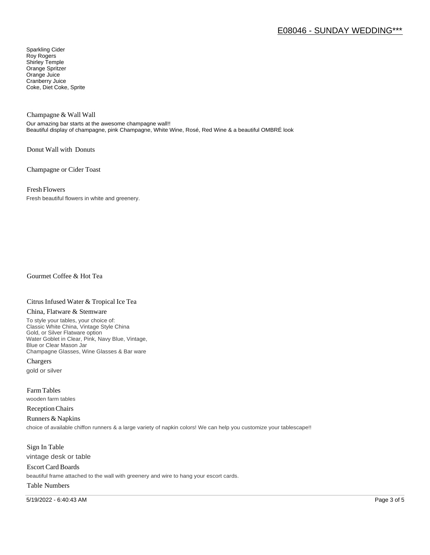# E08046 - SUNDAY WEDDING\*\*\*

Sparkling Cider Roy Rogers Shirley Temple Orange Spritzer Orange Juice Cranberry Juice Coke, Diet Coke, Sprite

Champagne & Wall Wall

Our amazing bar starts at the awesome champagne wall!! Beautiful display of champagne, pink Champagne, White Wine, Rosé, Red Wine & a beautiful OMBRÉ look

Donut Wall with Donuts

Champagne or Cider Toast

Fresh Flowers

Fresh beautiful flowers in white and greenery.

Gourmet Coffee & Hot Tea

#### Citrus Infused Water & Tropical Ice Tea

#### China, Flatware & Stemware

To style your tables, your choice of: Classic White China, Vintage Style China Gold, or Silver Flatware option Water Goblet in Clear, Pink, Navy Blue, Vintage, Blue or Clear Mason Jar Champagne Glasses, Wine Glasses & Bar ware

Chargers gold or silver

Farm Tables wooden farm tables

Reception Chairs

Runners & Napkins choice of available chiffon runners & a large variety of napkin colors! We can help you customize your tablescape!!

Sign In Table vintage desk or table

Escort Card Boards beautiful frame attached to the wall with greenery and wire to hang your escort cards.

### Table Numbers

5/19/2022 - 6:40:43 AM Page 3 of 5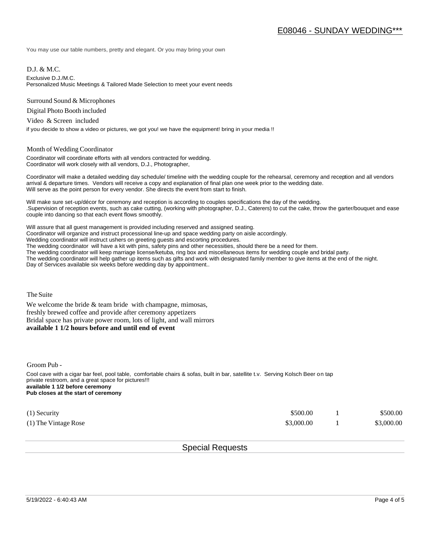You may use our table numbers, pretty and elegant. Or you may bring your own

D.J. & M.C.

Exclusive D.J./M.C.

Personalized Music Meetings & Tailored Made Selection to meet your event needs

Surround Sound & Microphones

Digital Photo Booth included

Video & Screen included

if you decide to show a video or pictures, we got you! we have the equipment! bring in your media !!

#### Month of Wedding Coordinator

Coordinator will coordinate efforts with all vendors contracted for wedding. Coordinator will work closely with all vendors, D.J., Photographer,

Coordinator will make a detailed wedding day schedule/ timeline with the wedding couple for the rehearsal, ceremony and reception and all vendors arrival & departure times. Vendors will receive a copy and explanation of final plan one week prior to the wedding date. Will serve as the point person for every vendor. She directs the event from start to finish.

Will make sure set-up/décor for ceremony and reception is according to couples specifications the day of the wedding. .Supervision of reception events, such as cake cutting, (working with photographer, D.J., Caterers) to cut the cake, throw the garter/bouquet and ease couple into dancing so that each event flows smoothly.

Will assure that all guest management is provided including reserved and assigned seating. Coordinator will organize and instruct processional line-up and space wedding party on aisle accordingly. Wedding coordinator will instruct ushers on greeting guests and escorting procedures. The wedding coordinator will have a kit with pins, safety pins and other necessities, should there be a need for them. The wedding coordinator will keep marriage license/ketuba, ring box and miscellaneous items for wedding couple and bridal party. The wedding coordinator will help gather up items such as gifts and work with designated family member to give items at the end of the night. Day of Services available six weeks before wedding day by appointment..

The Suite

We welcome the bride  $&$  team bride with champagne, mimosas, freshly brewed coffee and provide after ceremony appetizers Bridal space has private power room, lots of light, and wall mirrors **available 1 1/2 hours before and until end of event** 

Groom Pub -

Cool cave with a cigar bar feel, pool table, comfortable chairs & sofas, built in bar, satellite t.v. Serving Kolsch Beer on tap private restroom, and a great space for pictures!!! **available 1 1/2 before ceremony Pub closes at the start of ceremony**

| $(1)$ Security       | \$500.00   | \$500.00   |
|----------------------|------------|------------|
| (1) The Vintage Rose | \$3,000.00 | \$3,000.00 |

## Special Requests